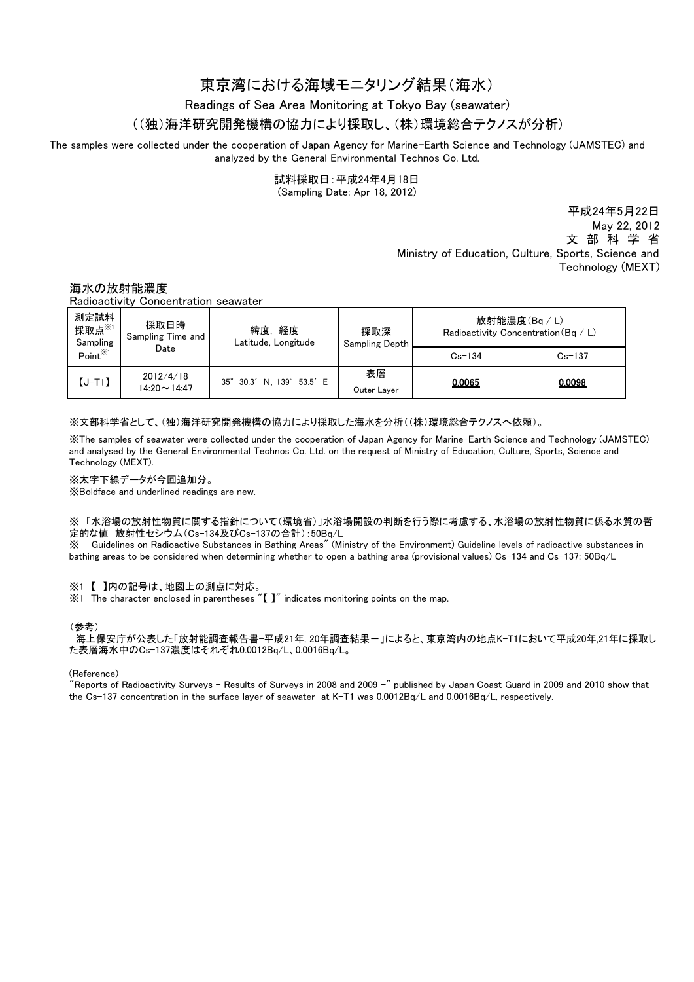# 東京湾における海域モニタリング結果(海水)

Readings of Sea Area Monitoring at Tokyo Bay (seawater)

## ((独)海洋研究開発機構の協力により採取し、(株)環境総合テクノスが分析)

The samples were collected under the cooperation of Japan Agency for Marine-Earth Science and Technology (JAMSTEC) and analyzed by the General Environmental Technos Co. Ltd.

試料採取日:平成24年4月18日

(Sampling Date: Apr 18, 2012)

平成24年5月22日 May 22, 2012 文 部 科 学 省 Ministry of Education, Culture, Sports, Science and Technology (MEXT)

## 海水の放射能濃度

Radioactivity Concentration seawater

| 測定試料<br>採取点※1<br>Sampling<br>Point <sup>※1</sup> | 採取日時<br>Sampling Time and<br>Date | 緯度,経度<br>Latitude, Longitude | 採取深<br>Sampling Depth | 放射能濃度(Bq/L)<br>Radioactivity Concentration (Bg / L) |            |
|--------------------------------------------------|-----------------------------------|------------------------------|-----------------------|-----------------------------------------------------|------------|
|                                                  |                                   |                              |                       | $Cs - 134$                                          | $Cs - 137$ |
| $[J-T1]$                                         | 2012/4/18<br>$14.20 \sim 14.47$   | 35° 30.3' N. 139° 53.5' E    | 表層<br>Outer Layer     | 0.0065                                              | 0.0098     |

※文部科学省として、(独)海洋研究開発機構の協力により採取した海水を分析((株)環境総合テクノスへ依頼)。

※The samples of seawater were collected under the cooperation of Japan Agency for Marine-Earth Science and Technology (JAMSTEC) and analysed by the General Environmental Technos Co. Ltd. on the request of Ministry of Education, Culture, Sports, Science and Technology (MEXT).

※太字下線データが今回追加分。

※Boldface and underlined readings are new.

※ 「水浴場の放射性物質に関する指針について(環境省)」水浴場開設の判断を行う際に考慮する、水浴場の放射性物質に係る水質の暫 定的な値 放射性セシウム(Cs-134及びCs-137の合計):50Bq/L

※ Guidelines on Radioactive Substances in Bathing Areas" (Ministry of the Environment) Guideline levels of radioactive substances in bathing areas to be considered when determining whether to open a bathing area (provisional values) Cs-134 and Cs-137: 50Bq/L

### ※1 【 】内の記号は、地図上の測点に対応。

※1 The character enclosed in parentheses "【 】" indicates monitoring points on the map.

#### (参考)

海上保安庁が公表した「放射能調査報告書-平成21年, 20年調査結果ー」によると、東京湾内の地点K-T1において平成20年,21年に採取し た表層海水中のCs-137濃度はそれぞれ0.0012Bq/L、0.0016Bq/L。

#### (Reference)

"Reports of Radioactivity Surveys - Results of Surveys in 2008 and 2009 -" published by Japan Coast Guard in 2009 and 2010 show that the Cs-137 concentration in the surface layer of seawater at K-T1 was 0.0012Bq/L and 0.0016Bq/L, respectively.